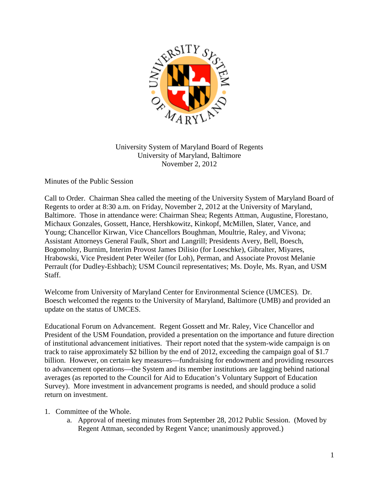

University System of Maryland Board of Regents University of Maryland, Baltimore November 2, 2012

Minutes of the Public Session

Call to Order. Chairman Shea called the meeting of the University System of Maryland Board of Regents to order at 8:30 a.m. on Friday, November 2, 2012 at the University of Maryland, Baltimore. Those in attendance were: Chairman Shea; Regents Attman, Augustine, Florestano, Michaux Gonzales, Gossett, Hance, Hershkowitz, Kinkopf, McMillen, Slater, Vance, and Young; Chancellor Kirwan, Vice Chancellors Boughman, Moultrie, Raley, and Vivona; Assistant Attorneys General Faulk, Short and Langrill; Presidents Avery, Bell, Boesch, Bogomolny, Burnim, Interim Provost James Dilisio (for Loeschke), Gibralter, Miyares, Hrabowski, Vice President Peter Weiler (for Loh), Perman, and Associate Provost Melanie Perrault (for Dudley-Eshbach); USM Council representatives; Ms. Doyle, Ms. Ryan, and USM Staff.

Welcome from University of Maryland Center for Environmental Science (UMCES). Dr. Boesch welcomed the regents to the University of Maryland, Baltimore (UMB) and provided an update on the status of UMCES.

Educational Forum on Advancement. Regent Gossett and Mr. Raley, Vice Chancellor and President of the USM Foundation, provided a presentation on the importance and future direction of institutional advancement initiatives. Their report noted that the system-wide campaign is on track to raise approximately \$2 billion by the end of 2012, exceeding the campaign goal of \$1.7 billion. However, on certain key measures—fundraising for endowment and providing resources to advancement operations—the System and its member institutions are lagging behind national averages (as reported to the Council for Aid to Education's Voluntary Support of Education Survey). More investment in advancement programs is needed, and should produce a solid return on investment.

- 1. Committee of the Whole.
	- a. Approval of meeting minutes from September 28, 2012 Public Session. (Moved by Regent Attman, seconded by Regent Vance; unanimously approved.)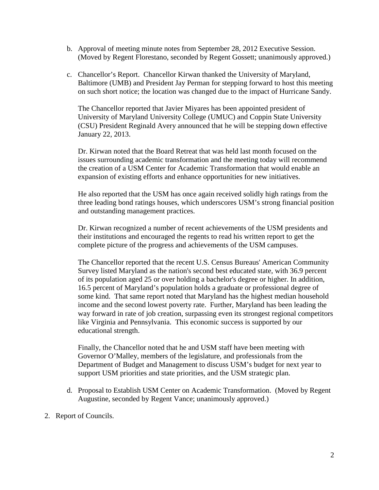- b. Approval of meeting minute notes from September 28, 2012 Executive Session. (Moved by Regent Florestano, seconded by Regent Gossett; unanimously approved.)
- c. Chancellor's Report. Chancellor Kirwan thanked the University of Maryland, Baltimore (UMB) and President Jay Perman for stepping forward to host this meeting on such short notice; the location was changed due to the impact of Hurricane Sandy.

The Chancellor reported that Javier Miyares has been appointed president of University of Maryland University College (UMUC) and Coppin State University (CSU) President Reginald Avery announced that he will be stepping down effective January 22, 2013.

Dr. Kirwan noted that the Board Retreat that was held last month focused on the issues surrounding academic transformation and the meeting today will recommend the creation of a USM Center for Academic Transformation that would enable an expansion of existing efforts and enhance opportunities for new initiatives.

He also reported that the USM has once again received solidly high ratings from the three leading bond ratings houses, which underscores USM's strong financial position and outstanding management practices.

Dr. Kirwan recognized a number of recent achievements of the USM presidents and their institutions and encouraged the regents to read his written report to get the complete picture of the progress and achievements of the USM campuses.

The Chancellor reported that the recent U.S. Census Bureaus' American Community Survey listed Maryland as the nation's second best educated state, with 36.9 percent of its population aged 25 or over holding a bachelor's degree or higher. In addition, 16.5 percent of Maryland's population holds a graduate or professional degree of some kind. That same report noted that Maryland has the highest median household income and the second lowest poverty rate. Further, Maryland has been leading the way forward in rate of job creation, surpassing even its strongest regional competitors like Virginia and Pennsylvania. This economic success is supported by our educational strength.

Finally, the Chancellor noted that he and USM staff have been meeting with Governor O'Malley, members of the legislature, and professionals from the Department of Budget and Management to discuss USM's budget for next year to support USM priorities and state priorities, and the USM strategic plan.

- d. Proposal to Establish USM Center on Academic Transformation. (Moved by Regent Augustine, seconded by Regent Vance; unanimously approved.)
- 2. Report of Councils.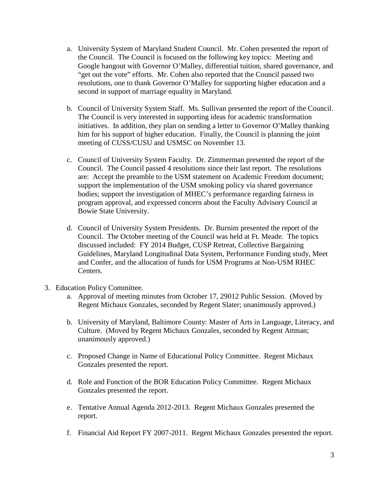- a. University System of Maryland Student Council. Mr. Cohen presented the report of the Council. The Council is focused on the following key topics: Meeting and Google hangout with Governor O'Malley, differential tuition, shared governance, and "get out the vote" efforts. Mr. Cohen also reported that the Council passed two resolutions, one to thank Governor O'Malley for supporting higher education and a second in support of marriage equality in Maryland.
- b. Council of University System Staff. Ms. Sullivan presented the report of the Council. The Council is very interested in supporting ideas for academic transformation initiatives. In addition, they plan on sending a letter to Governor O'Malley thanking him for his support of higher education. Finally, the Council is planning the joint meeting of CUSS/CUSU and USMSC on November 13.
- c. Council of University System Faculty. Dr. Zimmerman presented the report of the Council. The Council passed 4 resolutions since their last report. The resolutions are: Accept the preamble to the USM statement on Academic Freedom document; support the implementation of the USM smoking policy via shared governance bodies; support the investigation of MHEC's performance regarding fairness in program approval, and expressed concern about the Faculty Advisory Council at Bowie State University.
- d. Council of University System Presidents. Dr. Burnim presented the report of the Council. The October meeting of the Council was held at Ft. Meade. The topics discussed included: FY 2014 Budget, CUSP Retreat, Collective Bargaining Guidelines, Maryland Longitudinal Data System, Performance Funding study, Meet and Confer, and the allocation of funds for USM Programs at Non-USM RHEC Centers.
- 3. Education Policy Committee.
	- a. Approval of meeting minutes from October 17, 29012 Public Session. (Moved by Regent Michaux Gonzales, seconded by Regent Slater; unanimously approved.)
	- b. University of Maryland, Baltimore County: Master of Arts in Language, Literacy, and Culture. (Moved by Regent Michaux Gonzales, seconded by Regent Attman; unanimously approved.)
	- c. Proposed Change in Name of Educational Policy Committee. Regent Michaux Gonzales presented the report.
	- d. Role and Function of the BOR Education Policy Committee. Regent Michaux Gonzales presented the report.
	- e. Tentative Annual Agenda 2012-2013. Regent Michaux Gonzales presented the report.
	- f. Financial Aid Report FY 2007-2011. Regent Michaux Gonzales presented the report.